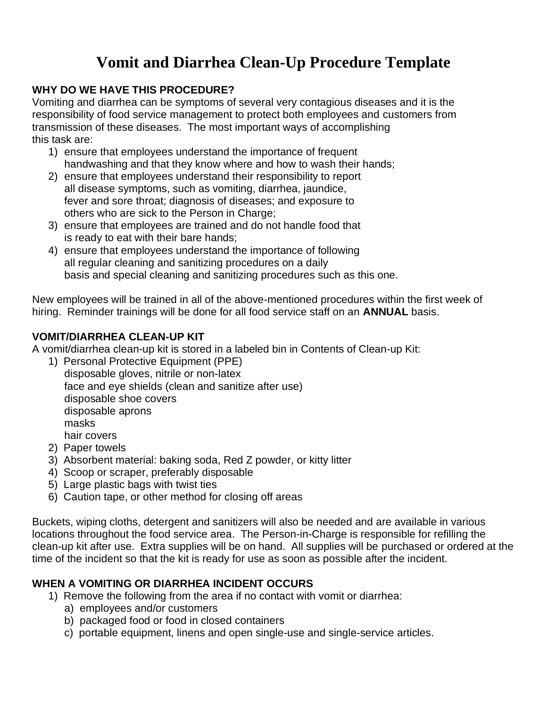# **Vomit and Diarrhea Clean-Up Procedure Template**

# **WHY DO WE HAVE THIS PROCEDURE?**

Vomiting and diarrhea can be symptoms of several very contagious diseases and it is the responsibility of food service management to protect both employees and customers from transmission of these diseases. The most important ways of accomplishing this task are:

- 1) ensure that employees understand the importance of frequent handwashing and that they know where and how to wash their hands;
- 2) ensure that employees understand their responsibility to report all disease symptoms, such as vomiting, diarrhea, jaundice, fever and sore throat; diagnosis of diseases; and exposure to others who are sick to the Person in Charge:
- 3) ensure that employees are trained and do not handle food that is ready to eat with their bare hands;
- 4) ensure that employees understand the importance of following all regular cleaning and sanitizing procedures on a daily basis and special cleaning and sanitizing procedures such as this one.

New employees will be trained in all of the above-mentioned procedures within the first week of hiring. Reminder trainings will be done for all food service staff on an **ANNUAL** basis.

# **VOMIT/DIARRHEA CLEAN-UP KIT**

A vomit/diarrhea clean-up kit is stored in a labeled bin in Contents of Clean-up Kit:

- 1) Personal Protective Equipment (PPE) disposable gloves, nitrile or non-latex face and eye shields (clean and sanitize after use) disposable shoe covers disposable aprons masks hair covers
- 2) Paper towels
- 3) Absorbent material: baking soda, Red Z powder, or kitty litter
- 4) Scoop or scraper, preferably disposable
- 5) Large plastic bags with twist ties
- 6) Caution tape, or other method for closing off areas

Buckets, wiping cloths, detergent and sanitizers will also be needed and are available in various locations throughout the food service area. The Person-in-Charge is responsible for refilling the clean-up kit after use. Extra supplies will be on hand. All supplies will be purchased or ordered at the time of the incident so that the kit is ready for use as soon as possible after the incident.

## **WHEN A VOMITING OR DIARRHEA INCIDENT OCCURS**

- 1) Remove the following from the area if no contact with vomit or diarrhea:
	- a) employees and/or customers
	- b) packaged food or food in closed containers
	- c) portable equipment, linens and open single-use and single-service articles.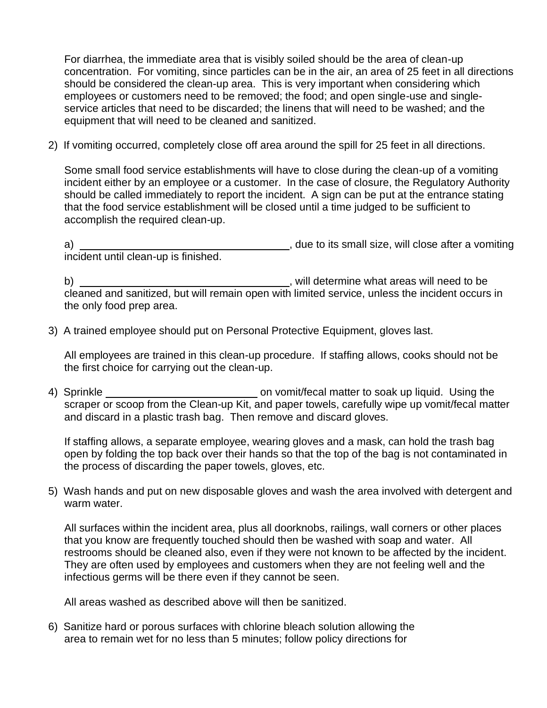For diarrhea, the immediate area that is visibly soiled should be the area of clean-up concentration. For vomiting, since particles can be in the air, an area of 25 feet in all directions should be considered the clean-up area. This is very important when considering which employees or customers need to be removed; the food; and open single-use and singleservice articles that need to be discarded; the linens that will need to be washed; and the equipment that will need to be cleaned and sanitized.

2) If vomiting occurred, completely close off area around the spill for 25 feet in all directions.

Some small food service establishments will have to close during the clean-up of a vomiting incident either by an employee or a customer. In the case of closure, the Regulatory Authority should be called immediately to report the incident. A sign can be put at the entrance stating that the food service establishment will be closed until a time judged to be sufficient to accomplish the required clean-up.

a) , due to its small size, will close after a vomiting incident until clean-up is finished.

b) , will determine what areas will need to be cleaned and sanitized, but will remain open with limited service, unless the incident occurs in the only food prep area.

3) A trained employee should put on Personal Protective Equipment, gloves last.

All employees are trained in this clean-up procedure. If staffing allows, cooks should not be the first choice for carrying out the clean-up.

4) Sprinkle <u>second on vomit/fecal matter to soak up liquid.</u> Using the scraper or scoop from the Clean-up Kit, and paper towels, carefully wipe up vomit/fecal matter and discard in a plastic trash bag. Then remove and discard gloves.

If staffing allows, a separate employee, wearing gloves and a mask, can hold the trash bag open by folding the top back over their hands so that the top of the bag is not contaminated in the process of discarding the paper towels, gloves, etc.

5) Wash hands and put on new disposable gloves and wash the area involved with detergent and warm water.

All surfaces within the incident area, plus all doorknobs, railings, wall corners or other places that you know are frequently touched should then be washed with soap and water. All restrooms should be cleaned also, even if they were not known to be affected by the incident. They are often used by employees and customers when they are not feeling well and the infectious germs will be there even if they cannot be seen.

All areas washed as described above will then be sanitized.

6) Sanitize hard or porous surfaces with chlorine bleach solution allowing the area to remain wet for no less than 5 minutes; follow policy directions for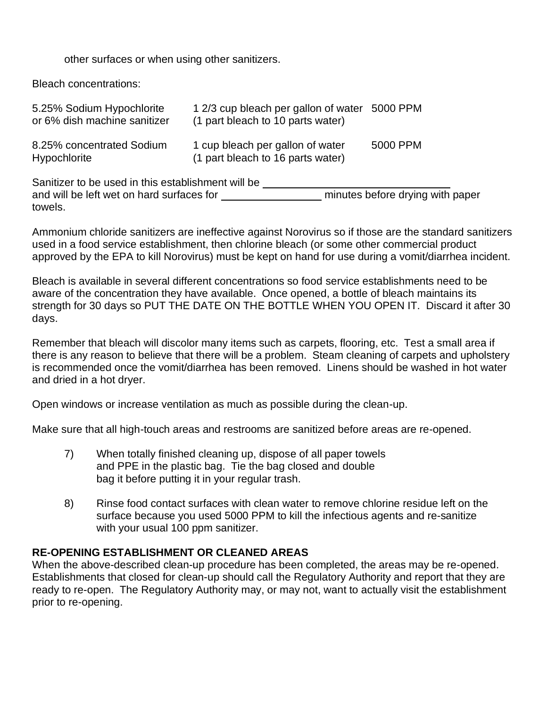#### other surfaces or when using other sanitizers.

Bleach concentrations:

| 5.25% Sodium Hypochlorite<br>or 6% dish machine sanitizer | 1 2/3 cup bleach per gallon of water 5000 PPM<br>(1 part bleach to 10 parts water) |          |
|-----------------------------------------------------------|------------------------------------------------------------------------------------|----------|
| 8.25% concentrated Sodium<br><b>Hypochlorite</b>          | 1 cup bleach per gallon of water<br>(1 part bleach to 16 parts water)              | 5000 PPM |
| Sanitizer to be used in this establishment will be        |                                                                                    |          |

and will be left wet on hard surfaces for minutes before drying with paper towels.

Ammonium chloride sanitizers are ineffective against Norovirus so if those are the standard sanitizers used in a food service establishment, then chlorine bleach (or some other commercial product approved by the EPA to kill Norovirus) must be kept on hand for use during a vomit/diarrhea incident.

Bleach is available in several different concentrations so food service establishments need to be aware of the concentration they have available. Once opened, a bottle of bleach maintains its strength for 30 days so PUT THE DATE ON THE BOTTLE WHEN YOU OPEN IT. Discard it after 30 days.

Remember that bleach will discolor many items such as carpets, flooring, etc. Test a small area if there is any reason to believe that there will be a problem. Steam cleaning of carpets and upholstery is recommended once the vomit/diarrhea has been removed. Linens should be washed in hot water and dried in a hot dryer.

Open windows or increase ventilation as much as possible during the clean-up.

Make sure that all high-touch areas and restrooms are sanitized before areas are re-opened.

- 7) When totally finished cleaning up, dispose of all paper towels and PPE in the plastic bag. Tie the bag closed and double bag it before putting it in your regular trash.
- 8) Rinse food contact surfaces with clean water to remove chlorine residue left on the surface because you used 5000 PPM to kill the infectious agents and re-sanitize with your usual 100 ppm sanitizer.

## **RE-OPENING ESTABLISHMENT OR CLEANED AREAS**

When the above-described clean-up procedure has been completed, the areas may be re-opened. Establishments that closed for clean-up should call the Regulatory Authority and report that they are ready to re-open. The Regulatory Authority may, or may not, want to actually visit the establishment prior to re-opening.